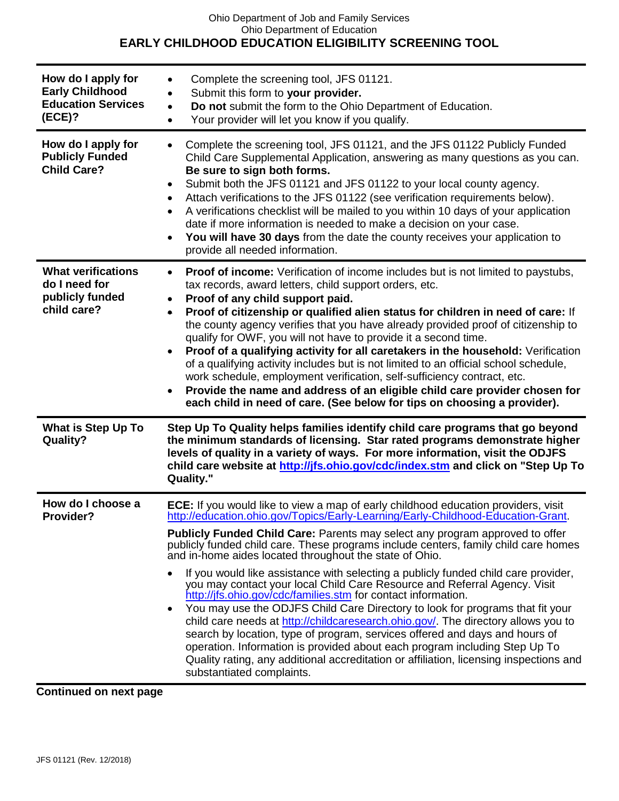## Ohio Department of Job and Family Services Ohio Department of Education **EARLY CHILDHOOD EDUCATION ELIGIBILITY SCREENING TOOL**

| How do I apply for<br><b>Early Childhood</b><br><b>Education Services</b><br>(ECE)? | Complete the screening tool, JFS 01121.<br>Submit this form to your provider.<br>$\bullet$<br>Do not submit the form to the Ohio Department of Education.<br>$\bullet$<br>Your provider will let you know if you qualify.<br>$\bullet$                                                                                                                                                                                                                                                                                                                                                                                                                                                                                                                                                                                                                                                                                                                                                                                                                                                                        |
|-------------------------------------------------------------------------------------|---------------------------------------------------------------------------------------------------------------------------------------------------------------------------------------------------------------------------------------------------------------------------------------------------------------------------------------------------------------------------------------------------------------------------------------------------------------------------------------------------------------------------------------------------------------------------------------------------------------------------------------------------------------------------------------------------------------------------------------------------------------------------------------------------------------------------------------------------------------------------------------------------------------------------------------------------------------------------------------------------------------------------------------------------------------------------------------------------------------|
| How do I apply for<br><b>Publicly Funded</b><br><b>Child Care?</b>                  | Complete the screening tool, JFS 01121, and the JFS 01122 Publicly Funded<br>Child Care Supplemental Application, answering as many questions as you can.<br>Be sure to sign both forms.<br>Submit both the JFS 01121 and JFS 01122 to your local county agency.<br>$\bullet$<br>Attach verifications to the JFS 01122 (see verification requirements below).<br>$\bullet$<br>A verifications checklist will be mailed to you within 10 days of your application<br>$\bullet$<br>date if more information is needed to make a decision on your case.<br>You will have 30 days from the date the county receives your application to<br>$\bullet$<br>provide all needed information.                                                                                                                                                                                                                                                                                                                                                                                                                           |
| <b>What verifications</b><br>do I need for<br>publicly funded<br>child care?        | <b>Proof of income:</b> Verification of income includes but is not limited to paystubs,<br>$\bullet$<br>tax records, award letters, child support orders, etc.<br>Proof of any child support paid.<br>$\bullet$<br>Proof of citizenship or qualified alien status for children in need of care: If<br>$\bullet$<br>the county agency verifies that you have already provided proof of citizenship to<br>qualify for OWF, you will not have to provide it a second time.<br>Proof of a qualifying activity for all caretakers in the household: Verification<br>of a qualifying activity includes but is not limited to an official school schedule,<br>work schedule, employment verification, self-sufficiency contract, etc.<br>Provide the name and address of an eligible child care provider chosen for<br>$\bullet$<br>each child in need of care. (See below for tips on choosing a provider).                                                                                                                                                                                                         |
| What is Step Up To<br><b>Quality?</b>                                               | Step Up To Quality helps families identify child care programs that go beyond<br>the minimum standards of licensing. Star rated programs demonstrate higher<br>levels of quality in a variety of ways. For more information, visit the ODJFS<br>child care website at http://jfs.ohio.gov/cdc/index.stm and click on "Step Up To<br>Quality."                                                                                                                                                                                                                                                                                                                                                                                                                                                                                                                                                                                                                                                                                                                                                                 |
| How do I choose a<br>Provider?                                                      | ECE: If you would like to view a map of early childhood education providers, visit<br>http://education.ohio.gov/Topics/Early-Learning/Early-Childhood-Education-Grant.<br><b>Publicly Funded Child Care:</b> Parents may select any program approved to offer<br>publicly funded child care. These programs include centers, family child care homes<br>and in-home aides located throughout the state of Ohio.<br>If you would like assistance with selecting a publicly funded child care provider,<br>you may contact your local Child Care Resource and Referral Agency. Visit<br>http://jfs.ohio.gov/cdc/families.stm for contact information.<br>You may use the ODJFS Child Care Directory to look for programs that fit your<br>child care needs at http://childcaresearch.ohio.gov/. The directory allows you to<br>search by location, type of program, services offered and days and hours of<br>operation. Information is provided about each program including Step Up To<br>Quality rating, any additional accreditation or affiliation, licensing inspections and<br>substantiated complaints. |

**Continued on next page**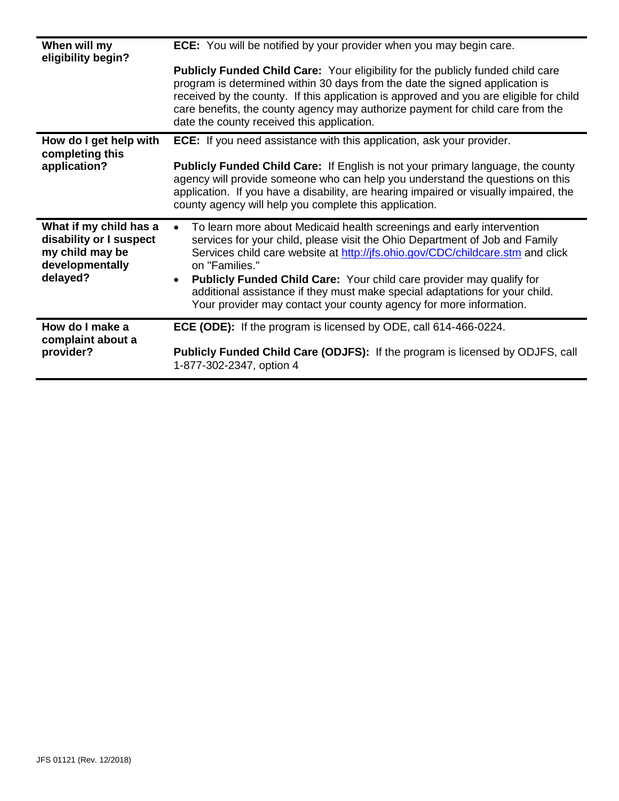| When will my<br>eligibility begin?                                                                  | <b>ECE:</b> You will be notified by your provider when you may begin care.                                                                                                                                                                                                                                                                                                                                                                                                                   |  |  |  |  |
|-----------------------------------------------------------------------------------------------------|----------------------------------------------------------------------------------------------------------------------------------------------------------------------------------------------------------------------------------------------------------------------------------------------------------------------------------------------------------------------------------------------------------------------------------------------------------------------------------------------|--|--|--|--|
|                                                                                                     | <b>Publicly Funded Child Care:</b> Your eligibility for the publicly funded child care<br>program is determined within 30 days from the date the signed application is<br>received by the county. If this application is approved and you are eligible for child<br>care benefits, the county agency may authorize payment for child care from the<br>date the county received this application.                                                                                             |  |  |  |  |
| How do I get help with<br>completing this                                                           | ECE: If you need assistance with this application, ask your provider.                                                                                                                                                                                                                                                                                                                                                                                                                        |  |  |  |  |
| application?                                                                                        | Publicly Funded Child Care: If English is not your primary language, the county<br>agency will provide someone who can help you understand the questions on this<br>application. If you have a disability, are hearing impaired or visually impaired, the<br>county agency will help you complete this application.                                                                                                                                                                          |  |  |  |  |
| What if my child has a<br>disability or I suspect<br>my child may be<br>developmentally<br>delayed? | To learn more about Medicaid health screenings and early intervention<br>services for your child, please visit the Ohio Department of Job and Family<br>Services child care website at http://jfs.ohio.gov/CDC/childcare.stm and click<br>on "Families."<br><b>Publicly Funded Child Care:</b> Your child care provider may qualify for<br>additional assistance if they must make special adaptations for your child.<br>Your provider may contact your county agency for more information. |  |  |  |  |
| How do I make a<br>complaint about a                                                                | <b>ECE (ODE):</b> If the program is licensed by ODE, call 614-466-0224.                                                                                                                                                                                                                                                                                                                                                                                                                      |  |  |  |  |
| provider?                                                                                           | <b>Publicly Funded Child Care (ODJFS):</b> If the program is licensed by ODJFS, call<br>1-877-302-2347, option 4                                                                                                                                                                                                                                                                                                                                                                             |  |  |  |  |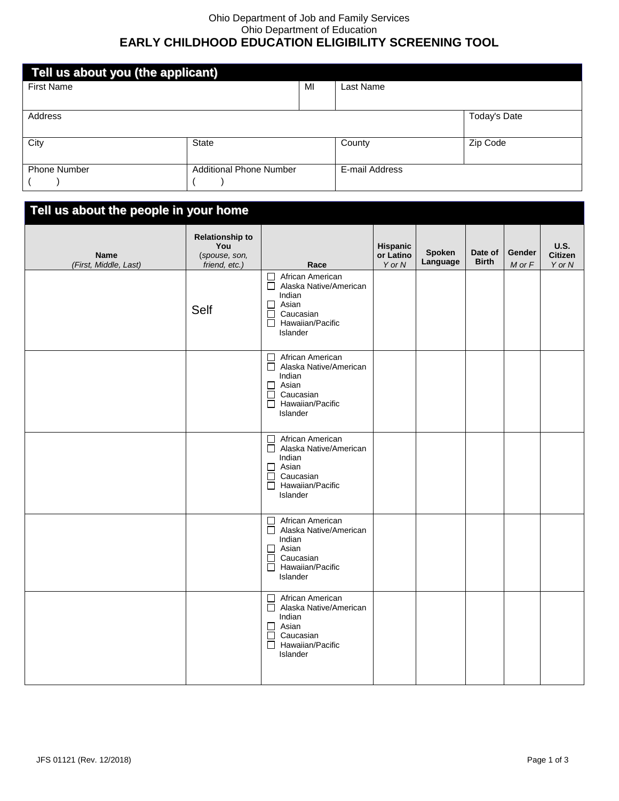## Ohio Department of Job and Family Services Ohio Department of Education **EARLY CHILDHOOD EDUCATION ELIGIBILITY SCREENING TOOL**

| Tell us about you (the applicant) |                                |    |                |              |  |
|-----------------------------------|--------------------------------|----|----------------|--------------|--|
| <b>First Name</b>                 |                                | MI | Last Name      |              |  |
|                                   |                                |    |                |              |  |
| Address                           |                                |    |                | Today's Date |  |
| City                              | State                          |    | County         | Zip Code     |  |
| <b>Phone Number</b>               | <b>Additional Phone Number</b> |    | E-mail Address |              |  |

| Tell us about the people in your home |                                                                 |                                                                                                                                          |                                 |                    |                         |                      |                                         |  |
|---------------------------------------|-----------------------------------------------------------------|------------------------------------------------------------------------------------------------------------------------------------------|---------------------------------|--------------------|-------------------------|----------------------|-----------------------------------------|--|
| <b>Name</b><br>(First, Middle, Last)  | <b>Relationship to</b><br>You<br>(spouse, son,<br>friend, etc.) | Race                                                                                                                                     | Hispanic<br>or Latino<br>Y or N | Spoken<br>Language | Date of<br><b>Birth</b> | Gender<br>$M$ or $F$ | <b>U.S.</b><br><b>Citizen</b><br>Y or N |  |
|                                       | Self                                                            | African American<br>Alaska Native/American<br>П<br>Indian<br>$\Box$ Asian<br>$\Box$ Caucasian<br>$\Box$ Hawaiian/Pacific<br>Islander     |                                 |                    |                         |                      |                                         |  |
|                                       |                                                                 | African American<br>Alaska Native/American<br>Indian<br>$\Box$ Asian<br>□ Caucasian<br>$\Box$ Hawaiian/Pacific<br><b>Islander</b>        |                                 |                    |                         |                      |                                         |  |
|                                       |                                                                 | African American<br>Alaska Native/American<br>Indian<br>$\Box$ Asian<br>$\Box$<br>Caucasian<br>$\Box$ Hawaiian/Pacific<br>Islander       |                                 |                    |                         |                      |                                         |  |
|                                       |                                                                 | African American<br>□ Alaska Native/American<br>Indian<br>$\Box$ Asian<br>$\Box$ Caucasian<br>$\Box$ Hawaiian/Pacific<br><b>Islander</b> |                                 |                    |                         |                      |                                         |  |
|                                       |                                                                 | African American<br>Alaska Native/American<br>Indian<br>$\Box$ Asian<br>$\Box$<br>Caucasian<br>$\Box$ Hawaiian/Pacific<br>Islander       |                                 |                    |                         |                      |                                         |  |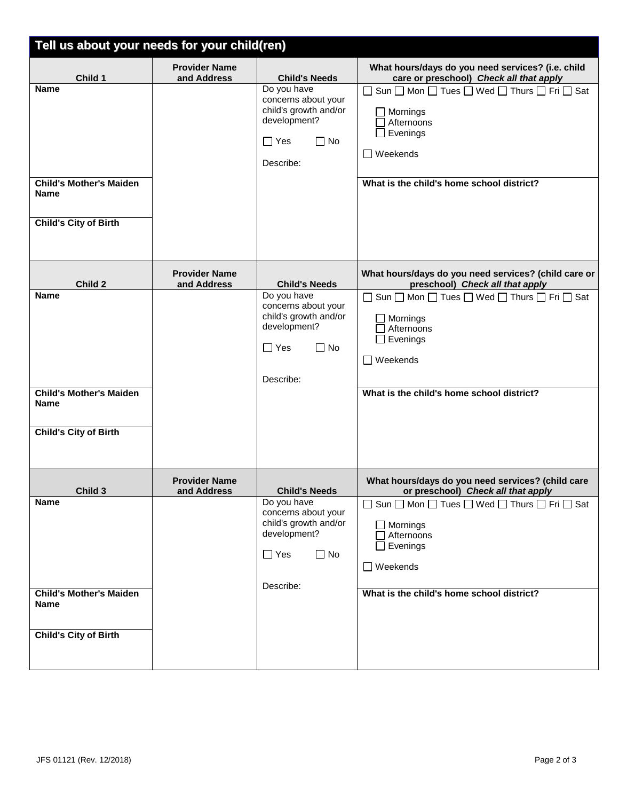| Tell us about your needs for your child(ren)                                                            |                                     |                                                                                                                                             |                                                                                                                                                                                                                                                                                              |  |  |
|---------------------------------------------------------------------------------------------------------|-------------------------------------|---------------------------------------------------------------------------------------------------------------------------------------------|----------------------------------------------------------------------------------------------------------------------------------------------------------------------------------------------------------------------------------------------------------------------------------------------|--|--|
| Child 1<br><b>Name</b><br><b>Child's Mother's Maiden</b><br><b>Name</b><br><b>Child's City of Birth</b> | <b>Provider Name</b><br>and Address | <b>Child's Needs</b><br>Do you have<br>concerns about your<br>child's growth and/or<br>development?<br>$\Box$ Yes<br>$\Box$ No<br>Describe: | What hours/days do you need services? (i.e. child<br>care or preschool) Check all that apply<br>$\Box$ Sun $\Box$ Mon $\Box$ Tues $\Box$ Wed $\Box$ Thurs $\Box$ Fri $\Box$ Sat<br>$\Box$ Mornings<br>Afternoons<br>Evenings<br>$\Box$ Weekends<br>What is the child's home school district? |  |  |
| Child 2<br><b>Name</b>                                                                                  | <b>Provider Name</b><br>and Address | <b>Child's Needs</b><br>Do you have<br>concerns about your<br>child's growth and/or                                                         | What hours/days do you need services? (child care or<br>preschool) Check all that apply<br>□ Sun □ Mon □ Tues □ Wed □ Thurs □ Fri □ Sat<br>□ Mornings                                                                                                                                        |  |  |
|                                                                                                         |                                     | development?<br>$\Box$ Yes<br>$\Box$ No<br>Describe:                                                                                        | Afternoons<br>Evenings<br>$\Box$ Weekends                                                                                                                                                                                                                                                    |  |  |
| <b>Child's Mother's Maiden</b><br><b>Name</b>                                                           |                                     |                                                                                                                                             | What is the child's home school district?                                                                                                                                                                                                                                                    |  |  |
| <b>Child's City of Birth</b>                                                                            |                                     |                                                                                                                                             |                                                                                                                                                                                                                                                                                              |  |  |
| Child 3<br><b>Name</b>                                                                                  | <b>Provider Name</b><br>and Address | <b>Child's Needs</b><br>Do you have<br>concerns about your<br>child's growth and/or<br>development?<br>$\Box$ Yes<br>$\Box$ No              | What hours/days do you need services? (child care<br>or preschool) Check all that apply<br>$\Box$ Sun $\Box$ Mon $\Box$ Tues $\Box$ Wed $\Box$ Thurs $\Box$ Fri $\Box$ Sat<br>$\Box$ Mornings<br>$\Box$ Afternoons<br>$\Box$ Evenings<br>$\Box$ Weekends                                     |  |  |
| <b>Child's Mother's Maiden</b><br><b>Name</b><br><b>Child's City of Birth</b>                           |                                     | Describe:                                                                                                                                   | What is the child's home school district?                                                                                                                                                                                                                                                    |  |  |